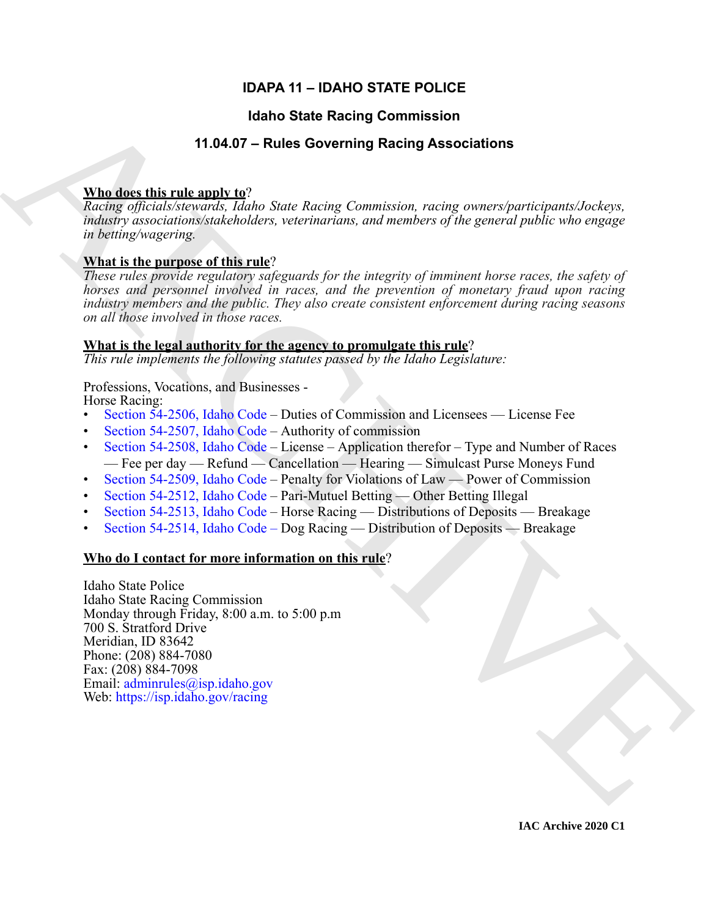# **IDAPA 11 – IDAHO STATE POLICE**

# **Idaho State Racing Commission**

# **11.04.07 – Rules Governing Racing Associations**

# **Who does this rule apply to**?

*Racing officials/stewards, Idaho State Racing Commission, racing owners/participants/Jockeys, industry associations/stakeholders, veterinarians, and members of the general public who engage in betting/wagering.*

# **What is the purpose of this rule**?

*These rules provide regulatory safeguards for the integrity of imminent horse races, the safety of horses and personnel involved in races, and the prevention of monetary fraud upon racing industry members and the public. They also create consistent enforcement during racing seasons on all those involved in those races.*

# **What is the legal authority for the agency to promulgate this rule**?

*This rule implements the following statutes passed by the Idaho Legislature:*

# Professions, Vocations, and Businesses -

Horse Racing:

- Section 54-2506, Idaho Code Duties of Commission and Licensees License Fee
- Section 54-2507, Idaho Code Authority of commission
- Section 54-2508, Idaho Code License Application therefor Type and Number of Races — Fee per day — Refund — Cancellation — Hearing — Simulcast Purse Moneys Fund
- Section 54-2509, Idaho Code Penalty for Violations of Law Power of Commission
- Section 54-2512, Idaho Code Pari-Mutuel Betting Other Betting Illegal
- Section 54-2513, Idaho Code Horse Racing Distributions of Deposits Breakage
- Section 54-2514, Idaho Code Dog Racing Distribution of Deposits Breakage

# **Who do I contact for more information on this rule**?

**14.1460 State Recinq [C](https://legislature.idaho.gov/statutesrules/idstat/Title54/T54CH25/SECT54-2506/)ommission**<br> **14.6467** Fulled Governing Recinq Associations<br> **Maddes this rulea**  $R_{\text{GUSR}}$  is the state of the state of the state control of the state of the state of the state of the state of the Idaho State Police Idaho State Racing Commission Monday through Friday, 8:00 a.m. to 5:00 p.m 700 S. Stratford Drive Meridian, ID 83642 Phone: (208) 884-7080 Fax: (208) 884-7098 Email: adminrules@isp.idaho.gov Web: https://isp.idaho.gov/racing

**IAC Archive 2020 C1**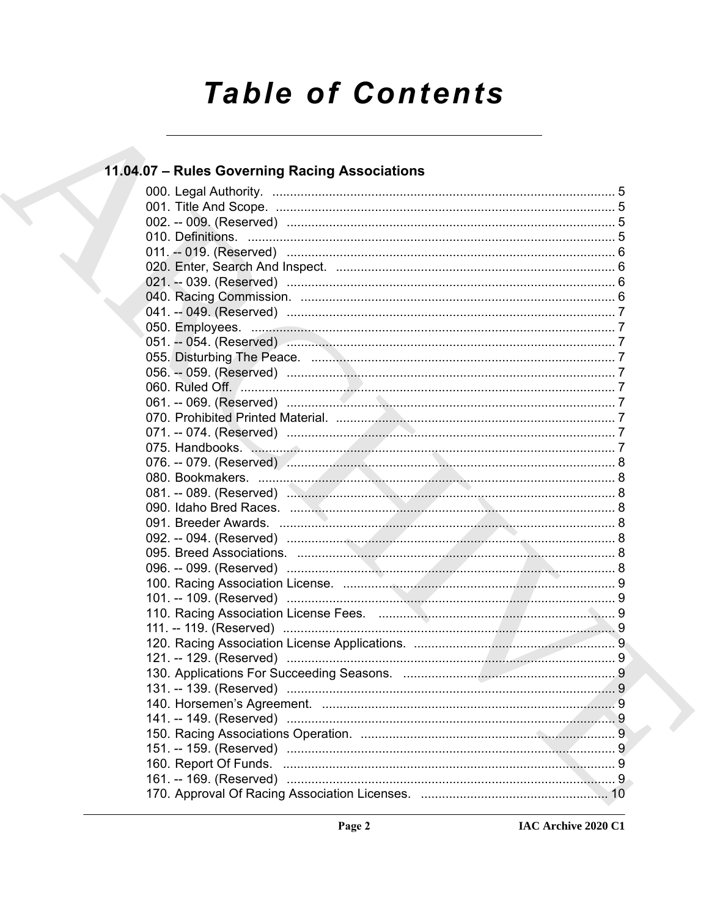# **Table of Contents**

# 11.04.07 - Rules Governing Racing Associations

|  | . 9 |
|--|-----|
|  |     |
|  |     |
|  |     |
|  |     |
|  |     |
|  |     |
|  |     |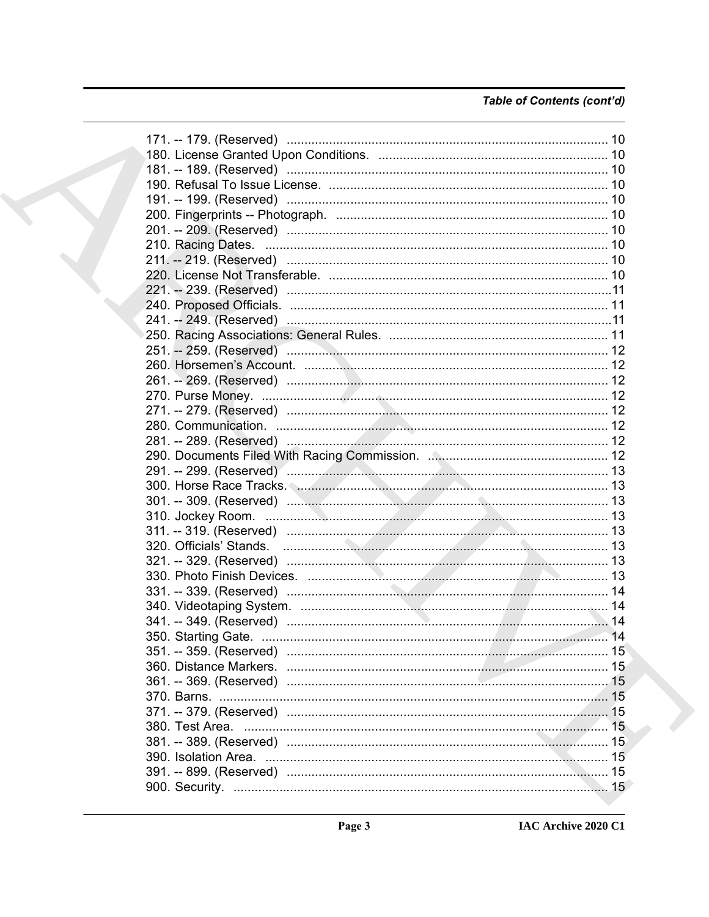# Table of Contents (cont'd)

|  | 171. -- 179. (Reserved) …………………………………………………………………………… 10 |  |
|--|----------------------------------------------------------|--|
|  |                                                          |  |
|  |                                                          |  |
|  |                                                          |  |
|  |                                                          |  |
|  |                                                          |  |
|  |                                                          |  |
|  |                                                          |  |
|  |                                                          |  |
|  |                                                          |  |
|  |                                                          |  |
|  |                                                          |  |
|  |                                                          |  |
|  |                                                          |  |
|  |                                                          |  |
|  |                                                          |  |
|  |                                                          |  |
|  |                                                          |  |
|  |                                                          |  |
|  |                                                          |  |
|  |                                                          |  |
|  |                                                          |  |
|  |                                                          |  |
|  |                                                          |  |
|  |                                                          |  |
|  |                                                          |  |
|  |                                                          |  |
|  |                                                          |  |
|  |                                                          |  |
|  |                                                          |  |
|  |                                                          |  |
|  |                                                          |  |
|  |                                                          |  |
|  |                                                          |  |
|  |                                                          |  |
|  |                                                          |  |
|  |                                                          |  |
|  |                                                          |  |
|  |                                                          |  |
|  |                                                          |  |
|  |                                                          |  |
|  |                                                          |  |
|  |                                                          |  |
|  |                                                          |  |
|  |                                                          |  |
|  |                                                          |  |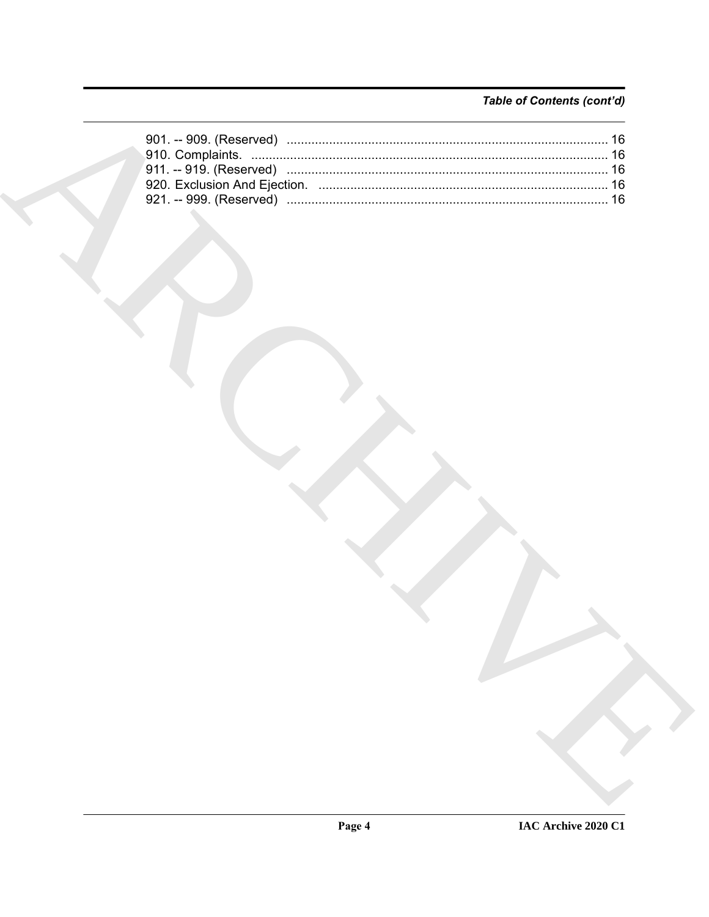# Table of Contents (cont'd)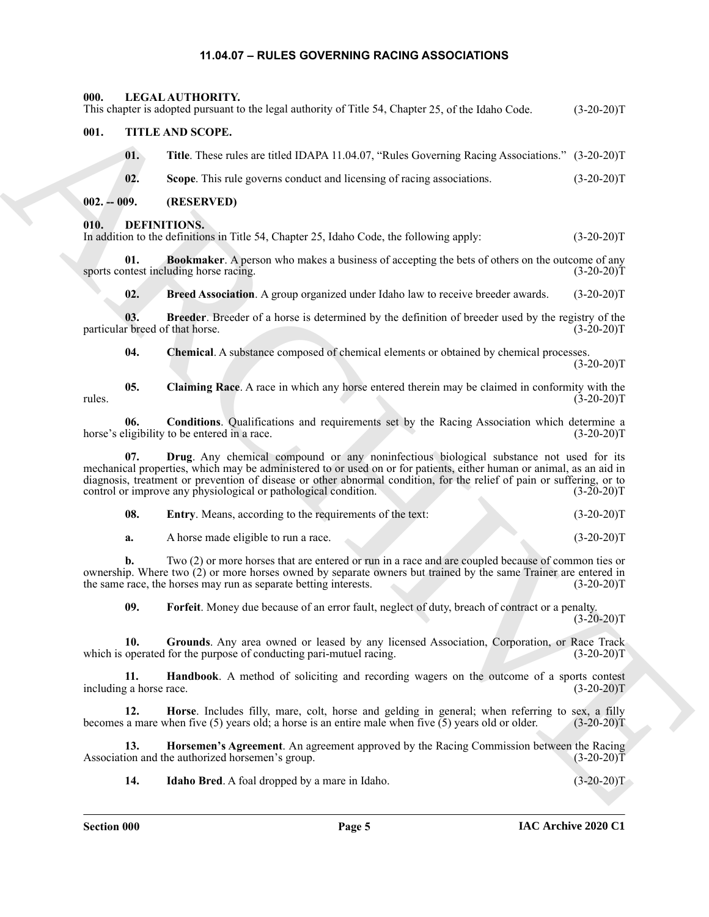#### <span id="page-4-21"></span><span id="page-4-20"></span><span id="page-4-10"></span><span id="page-4-9"></span><span id="page-4-8"></span><span id="page-4-7"></span><span id="page-4-6"></span>**11.04.07 – RULES GOVERNING RACING ASSOCIATIONS**

<span id="page-4-5"></span><span id="page-4-4"></span><span id="page-4-3"></span><span id="page-4-2"></span><span id="page-4-1"></span><span id="page-4-0"></span>This deposite subspect and the logistic of CRIA S. Chapter 25, this lieds (e.g. (2-20-20)7<br>
01. THE AND SCOPE.<br>
01. The These subspect and the ALC ARCHIVES Selection and the subspect and the CHIVES Selection (2-20)<br>
02. S **000. LEGAL AUTHORITY.** This chapter is adopted pursuant to the legal authority of Title 54, Chapter 25, of the Idaho Code. (3-20-20)T **001. TITLE AND SCOPE. 01. Title**. These rules are titled IDAPA 11.04.07, "Rules Governing Racing Associations." (3-20-20)T **02.** Scope. This rule governs conduct and licensing of racing associations. (3-20-20)T **002. -- 009. (RESERVED) 010. DEFINITIONS.** In addition to the definitions in Title 54, Chapter 25, Idaho Code, the following apply: (3-20-20)T **01. Bookmaker**. A person who makes a business of accepting the bets of others on the outcome of any sports contest including horse racing. (3-20-20)T **02.** Breed Association. A group organized under Idaho law to receive breeder awards. (3-20-20)T **03. Breeder**. Breeder of a horse is determined by the definition of breeder used by the registry of the particular breed of that horse. (3-20-20)T **04. Chemical**. A substance composed of chemical elements or obtained by chemical processes.  $(3-20-20)T$ **05. Claiming Race**. A race in which any horse entered therein may be claimed in conformity with the rules.  $(3-20-20)T$ **06. Conditions**. Qualifications and requirements set by the Racing Association which determine a horse's eligibility to be entered in a race. (3-20-20)T **07. Drug**. Any chemical compound or any noninfectious biological substance not used for its mechanical properties, which may be administered to or used on or for patients, either human or animal, as an aid in diagnosis, treatment or prevention of disease or other abnormal condition, for the relief of pain or suffering, or to control or improve any physiological or pathological condition. (3-20-20)T **08.** Entry. Means, according to the requirements of the text: (3-20-20)T **a.** A horse made eligible to run a race.  $(3-20-20)T$ **b.** Two (2) or more horses that are entered or run in a race and are coupled because of common ties or ownership. Where two (2) or more horses owned by separate owners but trained by the same Trainer are entered in the same race, the horses may run as separate betting interests. (3-20-20) the same race, the horses may run as separate betting interests. **09. Forfeit**. Money due because of an error fault, neglect of duty, breach of contract or a penalty.  $(3-20-20)T$ **10. Grounds**. Any area owned or leased by any licensed Association, Corporation, or Race Track which is operated for the purpose of conducting pari-mutuel racing. (3-20-20)T **11. Handbook**. A method of soliciting and recording wagers on the outcome of a sports contest  $(3-20-20)T$ including a horse race.

<span id="page-4-17"></span><span id="page-4-16"></span><span id="page-4-15"></span><span id="page-4-14"></span><span id="page-4-13"></span><span id="page-4-12"></span><span id="page-4-11"></span>**12. Horse**. Includes filly, mare, colt, horse and gelding in general; when referring to sex, a filly becomes a mare when five (5) years old; a horse is an entire male when five (5) years old or older. (3-20-20)T

**13. Horsemen's Agreement**. An agreement approved by the Racing Commission between the Racing ion and the authorized horsemen's group. (3-20-20)<sup>T</sup> Association and the authorized horsemen's group.

<span id="page-4-19"></span><span id="page-4-18"></span>**14.** Idaho Bred. A foal dropped by a mare in Idaho. (3-20-20)T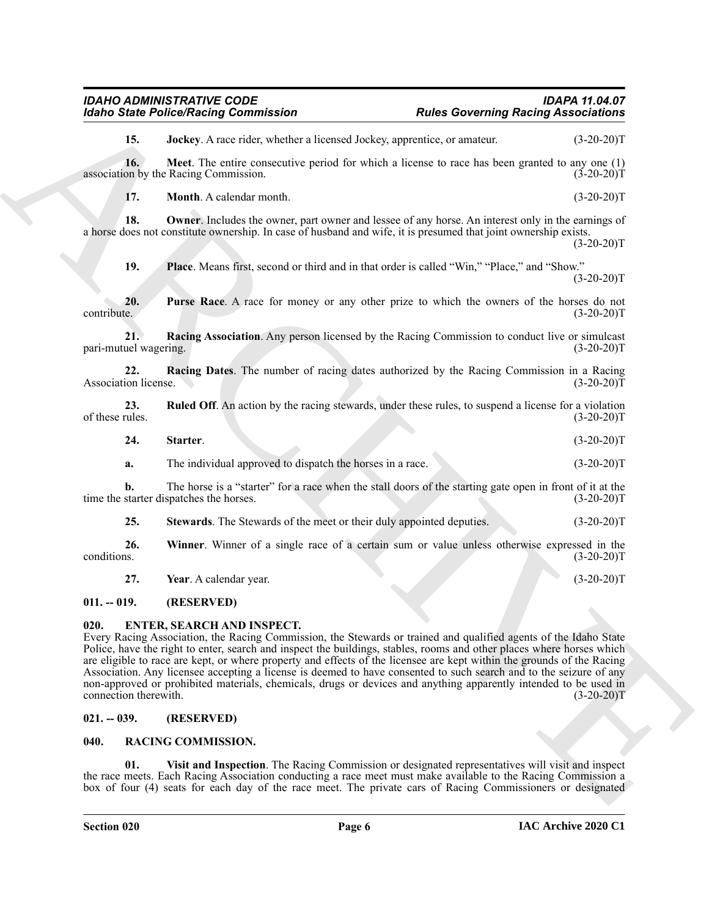<span id="page-5-5"></span><span id="page-5-4"></span>**15. Jockey**. A race rider, whether a licensed Jockey, apprentice, or amateur. (3-20-20)T

**16. Meet**. The entire consecutive period for which a license to race has been granted to any one (1) on by the Racing Commission. (3-20-20) association by the Racing Commission.

<span id="page-5-7"></span><span id="page-5-6"></span>**17. Month**. A calendar month. (3-20-20)T

**18. Owner**. Includes the owner, part owner and lessee of any horse. An interest only in the earnings of a horse does not constitute ownership. In case of husband and wife, it is presumed that joint ownership exists.  $(3-20-20)T$ 

<span id="page-5-10"></span><span id="page-5-9"></span><span id="page-5-8"></span>**19. Place**. Means first, second or third and in that order is called "Win," "Place," and "Show."  $(3-20-20)T$ 

**20. Purse Race**. A race for money or any other prize to which the owners of the horses do not contribute. (3-20-20)T contribute. (3-20-20)T

**21. Racing Association**. Any person licensed by the Racing Commission to conduct live or simulcast pari-mutuel wagering. (3-20-20)T

<span id="page-5-11"></span>**22. Racing Dates**. The number of racing dates authorized by the Racing Commission in a Racing Association license.

**23.** Ruled Off. An action by the racing stewards, under these rules, to suspend a license for a violation of these rules. (3-20-20) of these rules.  $(3-20-20)T$ 

<span id="page-5-13"></span><span id="page-5-12"></span>**24.** Starter. (3-20-20)T

**a.** The individual approved to dispatch the horses in a race. (3-20-20)T

**b.** The horse is a "starter" for a race when the stall doors of the starting gate open in front of it at the starter dispatches the horses. (3-20-20) time the starter dispatches the horses.

<span id="page-5-15"></span><span id="page-5-14"></span>**25. Stewards**. The Stewards of the meet or their duly appointed deputies. (3-20-20)T

**26.** Winner. Winner of a single race of a certain sum or value unless otherwise expressed in the conditions. (3-20-20) conditions. (3-20-20)T

<span id="page-5-17"></span><span id="page-5-16"></span>**27.** Year. A calendar year. (3-20-20)T

#### <span id="page-5-0"></span>**011. -- 019. (RESERVED)**

#### <span id="page-5-1"></span>**020. ENTER, SEARCH AND INSPECT.**

For the Police Protect Painting Commutation<br>
16. **ARCHIVE ARCHIVE States incomediate** and the View of the Second Painting Real of the Second CO-2017<br>
17. **ARCHIVE ARCHIVE STATE ARCHIVE STATE ARCHIVE STATE ARCHIVE STATE AN** Every Racing Association, the Racing Commission, the Stewards or trained and qualified agents of the Idaho State Police, have the right to enter, search and inspect the buildings, stables, rooms and other places where horses which are eligible to race are kept, or where property and effects of the licensee are kept within the grounds of the Racing Association. Any licensee accepting a license is deemed to have consented to such search and to the seizure of any non-approved or prohibited materials, chemicals, drugs or devices and anything apparently intended to be used in connection therewith.  $(3-20-20)$ T connection therewith.

#### <span id="page-5-2"></span>**021. -- 039. (RESERVED)**

#### <span id="page-5-18"></span><span id="page-5-3"></span>**040. RACING COMMISSION.**

<span id="page-5-19"></span>**01. Visit and Inspection**. The Racing Commission or designated representatives will visit and inspect the race meets. Each Racing Association conducting a race meet must make available to the Racing Commission a box of four (4) seats for each day of the race meet. The private cars of Racing Commissioners or designated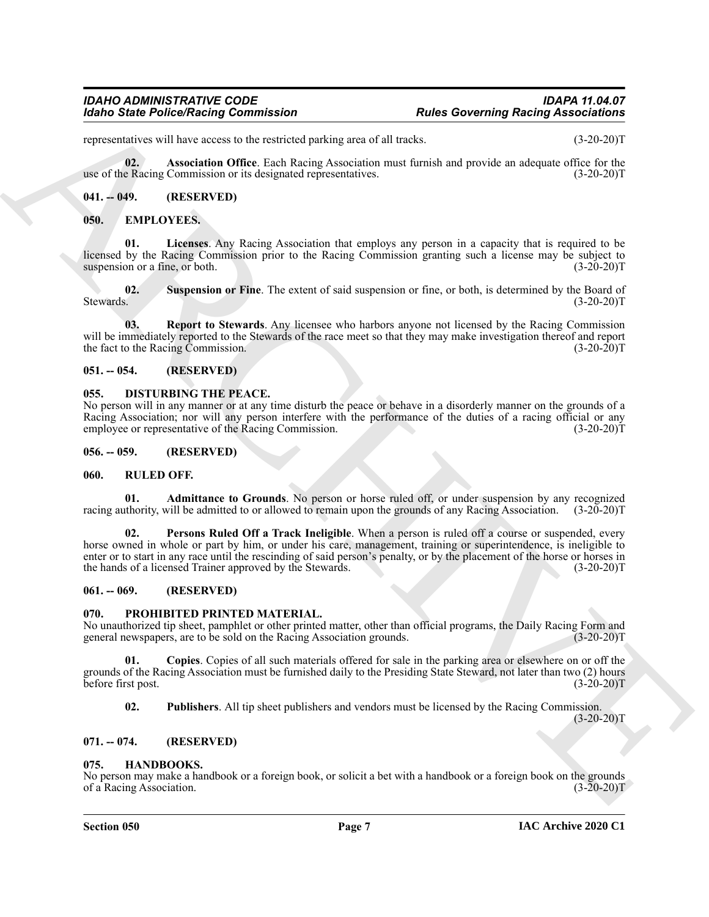# *Idaho State Police/Racing Commission Rules Governing Racing Associations*

representatives will have access to the restricted parking area of all tracks. (3-20-20)T

<span id="page-6-19"></span>**02. Association Office**. Each Racing Association must furnish and provide an adequate office for the use of the Racing Commission or its designated representatives. (3-20-20)T

#### <span id="page-6-0"></span>**041. -- 049. (RESERVED)**

#### <span id="page-6-12"></span><span id="page-6-11"></span><span id="page-6-1"></span>**050. EMPLOYEES.**

**01. Licenses**. Any Racing Association that employs any person in a capacity that is required to be licensed by the Racing Commission prior to the Racing Commission granting such a license may be subject to suspension or a fine, or both. (3-20-20)T

<span id="page-6-14"></span>**02. Suspension or Fine**. The extent of said suspension or fine, or both, is determined by the Board of Stewards. (3-20-20)T

<span id="page-6-13"></span>**03. Report to Stewards**. Any licensee who harbors anyone not licensed by the Racing Commission will be immediately reported to the Stewards of the race meet so that they may make investigation thereof and report the fact to the Racing Commission. (3-20-20)T

#### <span id="page-6-2"></span>**051. -- 054. (RESERVED)**

#### <span id="page-6-10"></span><span id="page-6-3"></span>**055. DISTURBING THE PEACE.**

No person will in any manner or at any time disturb the peace or behave in a disorderly manner on the grounds of a Racing Association; nor will any person interfere with the performance of the duties of a racing official or any employee or representative of the Racing Commission. (3-20-20) employee or representative of the Racing Commission.

#### <span id="page-6-4"></span>**056. -- 059. (RESERVED)**

#### <span id="page-6-20"></span><span id="page-6-5"></span>**060. RULED OFF.**

<span id="page-6-22"></span><span id="page-6-21"></span>**01. Admittance to Grounds**. No person or horse ruled off, or under suspension by any recognized racing authority, will be admitted to or allowed to remain upon the grounds of any Racing Association. (3-20-20)T

Form of Principal Commutation<br>
Spins Point Principal Commutation<br>
Spins Commutation<br>
Spins Commutation<br>
Spins Commutation<br>
Spins Commutation<br>
Spins Commutation<br>
Spins Commutation<br>
Spins Commutation<br>
Spins Commutation<br>
Spi **02. Persons Ruled Off a Track Ineligible**. When a person is ruled off a course or suspended, every horse owned in whole or part by him, or under his care, management, training or superintendence, is ineligible to enter or to start in any race until the rescinding of said person's penalty, or by the placement of the horse or horses in the hands of a licensed Trainer approved by the Stewards. (3-20-20)T

#### <span id="page-6-6"></span>**061. -- 069. (RESERVED)**

#### <span id="page-6-16"></span><span id="page-6-7"></span>**070. PROHIBITED PRINTED MATERIAL.**

No unauthorized tip sheet, pamphlet or other printed matter, other than official programs, the Daily Racing Form and general newspapers, are to be sold on the Racing Association grounds. (3-20-20) general newspapers, are to be sold on the Racing Association grounds.

**01. Copies**. Copies of all such materials offered for sale in the parking area or elsewhere on or off the grounds of the Racing Association must be furnished daily to the Presiding State Steward, not later than two (2) hours before first post. (3-20-20)T

<span id="page-6-18"></span><span id="page-6-17"></span>**02. Publishers**. All tip sheet publishers and vendors must be licensed by the Racing Commission.

 $(3-20-20)T$ 

#### <span id="page-6-8"></span>**071. -- 074. (RESERVED)**

#### <span id="page-6-15"></span><span id="page-6-9"></span>**075. HANDBOOKS.**

No person may make a handbook or a foreign book, or solicit a bet with a handbook or a foreign book on the grounds of a Racing Association. (3-20-20)T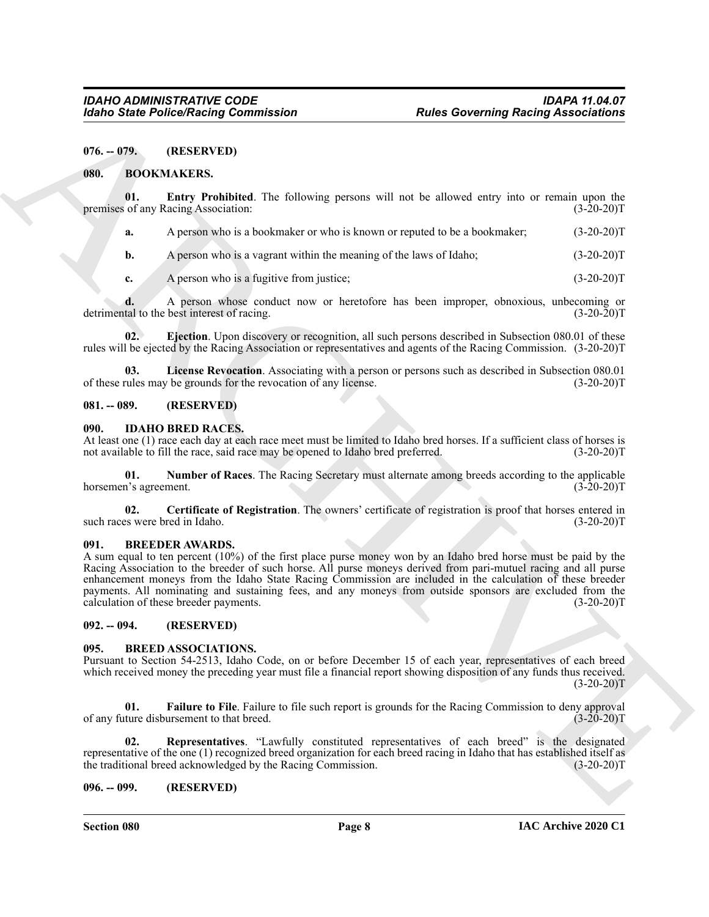<span id="page-7-0"></span>**076. -- 079. (RESERVED)**

#### <span id="page-7-8"></span><span id="page-7-1"></span>**080. BOOKMAKERS.**

**01. Entry Prohibited**. The following persons will not be allowed entry into or remain upon the of any Racing Association: (3-20-20) premises of any Racing Association:

<span id="page-7-10"></span>**a.** A person who is a bookmaker or who is known or reputed to be a bookmaker; (3-20-20)T

**b.** A person who is a vagrant within the meaning of the laws of Idaho;  $(3-20-20)T$ 

<span id="page-7-9"></span>**c.** A person who is a fugitive from justice; (3-20-20)T

**d.** A person whose conduct now or heretofore has been improper, obnoxious, unbecoming or tal to the best interest of racing.  $(3-20-20)T$ detrimental to the best interest of racing.

**02. Ejection**. Upon discovery or recognition, all such persons described in Subsection 080.01 of these rules will be ejected by the Racing Association or representatives and agents of the Racing Commission. (3-20-20)T

<span id="page-7-11"></span>**03.** License Revocation. Associating with a person or persons such as described in Subsection 080.01 rules may be grounds for the revocation of any license. (3-20-20)<sup>T</sup> of these rules may be grounds for the revocation of any license.

#### <span id="page-7-2"></span>**081. -- 089. (RESERVED)**

#### <span id="page-7-16"></span><span id="page-7-3"></span>**090. IDAHO BRED RACES.**

At least one (1) race each day at each race meet must be limited to Idaho bred horses. If a sufficient class of horses is not available to fill the race, said race may be opened to Idaho bred preferred. (3-20-20)T not available to fill the race, said race may be opened to Idaho bred preferred.

<span id="page-7-18"></span>**01. Number of Races**. The Racing Secretary must alternate among breeds according to the applicable horsemen's agreement.

<span id="page-7-17"></span>**02. Certificate of Registration**. The owners' certificate of registration is proof that horses entered in such races were bred in Idaho. (3-20-20)T

#### <span id="page-7-15"></span><span id="page-7-4"></span>**091. BREEDER AWARDS.**

For the Police Neutral Commutation<br>
(Ref. 1978). (REF. 1979). The Context of Columbia and the Context of the Context of the Columbia and the Columbia and the Columbia and the Columbia and the Columbia and the Columbia and A sum equal to ten percent (10%) of the first place purse money won by an Idaho bred horse must be paid by the Racing Association to the breeder of such horse. All purse moneys derived from pari-mutuel racing and all purse enhancement moneys from the Idaho State Racing Commission are included in the calculation of these breeder payments. All nominating and sustaining fees, and any moneys from outside sponsors are excluded from the calculation of these breeder payments. (3-20-20)T

<span id="page-7-5"></span>**092. -- 094. (RESERVED)**

#### <span id="page-7-12"></span><span id="page-7-6"></span>**095. BREED ASSOCIATIONS.**

Pursuant to Section 54-2513, Idaho Code, on or before December 15 of each year, representatives of each breed which received money the preceding year must file a financial report showing disposition of any funds thus received.  $(3-20-20)T$ 

<span id="page-7-13"></span>**01.** Failure to File. Failure to file such report is grounds for the Racing Commission to deny approval ture disbursement to that breed. (3-20-20) of any future disbursement to that breed.

<span id="page-7-14"></span>**02. Representatives**. "Lawfully constituted representatives of each breed" is the designated representative of the one (1) recognized breed organization for each breed racing in Idaho that has established itself as the traditional breed acknowledged by the Racing Commission. (3-20-20) the traditional breed acknowledged by the Racing Commission.

#### <span id="page-7-7"></span>**096. -- 099. (RESERVED)**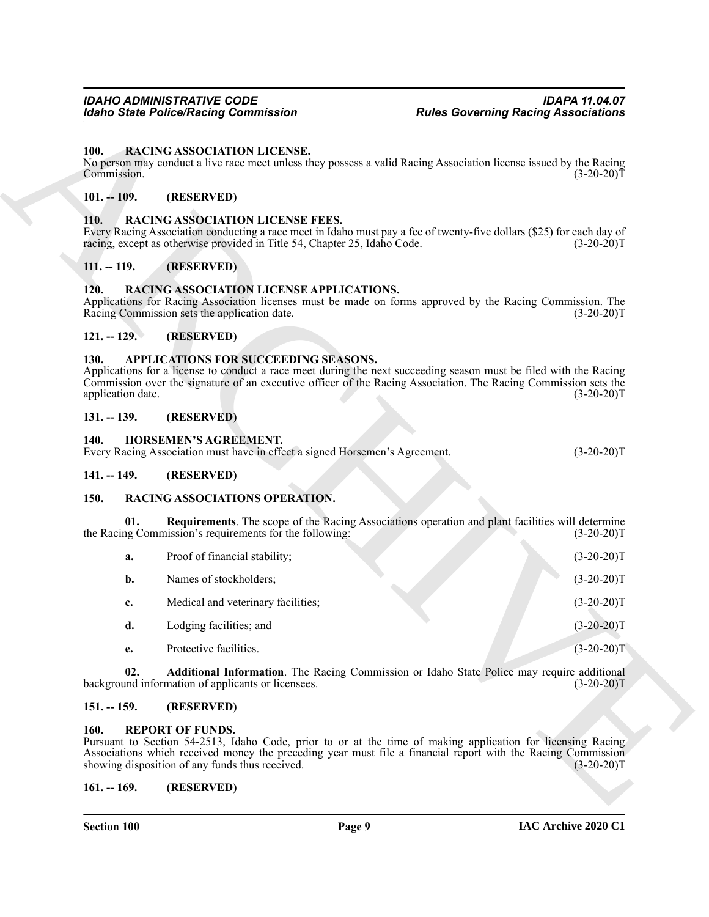#### <span id="page-8-16"></span><span id="page-8-0"></span>**100. RACING ASSOCIATION LICENSE.**

#### <span id="page-8-1"></span>**101. -- 109. (RESERVED)**

#### <span id="page-8-18"></span><span id="page-8-2"></span>**110. RACING ASSOCIATION LICENSE FEES.**

#### <span id="page-8-3"></span>**111. -- 119. (RESERVED)**

#### <span id="page-8-17"></span><span id="page-8-4"></span>**120. RACING ASSOCIATION LICENSE APPLICATIONS.**

#### <span id="page-8-5"></span>**121. -- 129. (RESERVED)**

#### <span id="page-8-14"></span><span id="page-8-6"></span>**130. APPLICATIONS FOR SUCCEEDING SEASONS.**

#### <span id="page-8-7"></span>**131. -- 139. (RESERVED)**

#### <span id="page-8-15"></span><span id="page-8-8"></span>**140. HORSEMEN'S AGREEMENT.**

| Every Racing Association must have in effect a signed Horsemen's Agreement. | $(3-20-20)T$ |
|-----------------------------------------------------------------------------|--------------|
|-----------------------------------------------------------------------------|--------------|

#### <span id="page-8-9"></span>**141. -- 149. (RESERVED)**

#### <span id="page-8-21"></span><span id="page-8-19"></span><span id="page-8-10"></span>**150. RACING ASSOCIATIONS OPERATION.**

|                           | <b>Idaho State Police/Racing Commission</b>                                                                          | <b>Rules Governing Racing Associations</b>                                                                                                                                                                                                           |
|---------------------------|----------------------------------------------------------------------------------------------------------------------|------------------------------------------------------------------------------------------------------------------------------------------------------------------------------------------------------------------------------------------------------|
| 100.<br>Commission.       | <b>RACING ASSOCIATION LICENSE.</b>                                                                                   | No person may conduct a live race meet unless they possess a valid Racing Association license issued by the Racing<br>$(3-20-20)T$                                                                                                                   |
| $101. - 109.$             | (RESERVED)                                                                                                           |                                                                                                                                                                                                                                                      |
| <b>110.</b>               | <b>RACING ASSOCIATION LICENSE FEES.</b><br>racing, except as otherwise provided in Title 54, Chapter 25, Idaho Code. | Every Racing Association conducting a race meet in Idaho must pay a fee of twenty-five dollars (\$25) for each day of<br>$(3-20-20)T$                                                                                                                |
| $111. - 119.$             | (RESERVED)                                                                                                           |                                                                                                                                                                                                                                                      |
| 120.                      | RACING ASSOCIATION LICENSE APPLICATIONS.<br>Racing Commission sets the application date.                             | Applications for Racing Association licenses must be made on forms approved by the Racing Commission. The<br>$(3-20-20)T$                                                                                                                            |
| $121. - 129.$             | (RESERVED)                                                                                                           |                                                                                                                                                                                                                                                      |
| 130.<br>application date. | APPLICATIONS FOR SUCCEEDING SEASONS.                                                                                 | Applications for a license to conduct a race meet during the next succeeding season must be filed with the Racing<br>Commission over the signature of an executive officer of the Racing Association. The Racing Commission sets the<br>$(3-20-20)T$ |
| $131. - 139.$             | (RESERVED)                                                                                                           |                                                                                                                                                                                                                                                      |
| 140.                      | HORSEMEN'S AGREEMENT.<br>Every Racing Association must have in effect a signed Horsemen's Agreement.                 | $(3-20-20)T$                                                                                                                                                                                                                                         |
| $141. - 149.$             | (RESERVED)                                                                                                           |                                                                                                                                                                                                                                                      |
| <b>150.</b>               | RACING ASSOCIATIONS OPERATION.                                                                                       |                                                                                                                                                                                                                                                      |
| 01.                       | the Racing Commission's requirements for the following:                                                              | Requirements. The scope of the Racing Associations operation and plant facilities will determine<br>$(3-20-20)T$                                                                                                                                     |
| a.                        | Proof of financial stability;                                                                                        | $(3-20-20)T$                                                                                                                                                                                                                                         |
| b.                        | Names of stockholders;                                                                                               | $(3-20-20)T$                                                                                                                                                                                                                                         |
| c.                        | Medical and veterinary facilities;                                                                                   | $(3-20-20)T$                                                                                                                                                                                                                                         |
| d.                        | Lodging facilities; and                                                                                              | $(3-20-20)T$                                                                                                                                                                                                                                         |
| e.                        | Protective facilities.                                                                                               | $(3-20-20)T$                                                                                                                                                                                                                                         |
| 02.                       | background information of applicants or licensees.                                                                   | Additional Information. The Racing Commission or Idaho State Police may require additional<br>$(3-20-20)T$                                                                                                                                           |
| $151. - 159.$             | (RESERVED)                                                                                                           |                                                                                                                                                                                                                                                      |
| <b>160.</b>               | <b>REPORT OF FUNDS.</b><br>showing disposition of any funds thus received.                                           | Pursuant to Section 54-2513, Idaho Code, prior to or at the time of making application for licensing Racing<br>Associations which received money the preceding year must file a financial report with the Racing Commission<br>$(3-20-20)T$          |
|                           |                                                                                                                      |                                                                                                                                                                                                                                                      |

#### <span id="page-8-20"></span><span id="page-8-11"></span>**151. -- 159. (RESERVED)**

#### <span id="page-8-22"></span><span id="page-8-12"></span>**160. REPORT OF FUNDS.**

#### <span id="page-8-13"></span>**161. -- 169. (RESERVED)**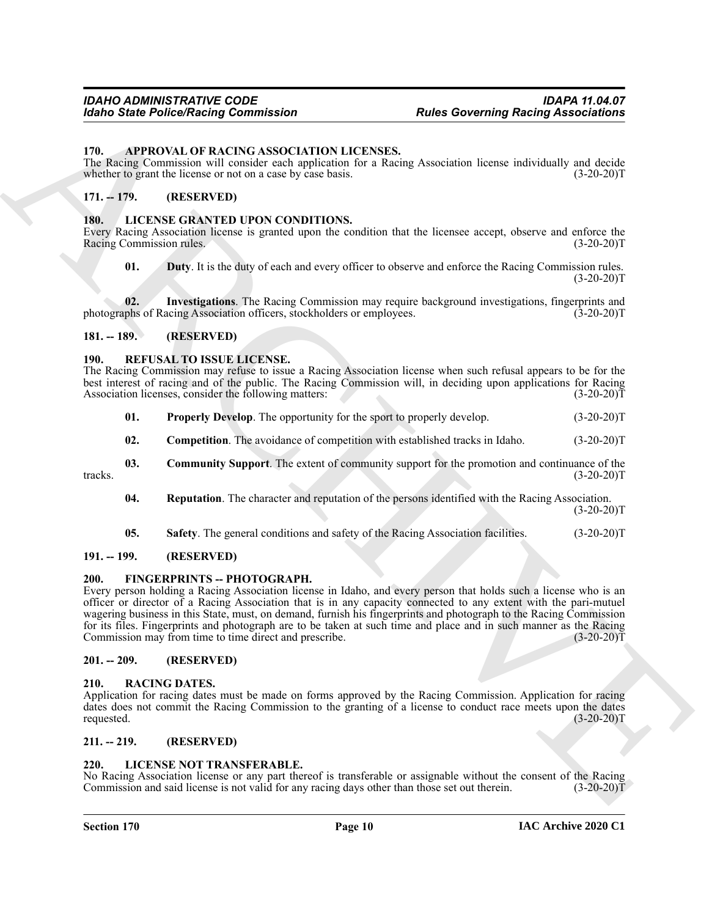#### <span id="page-9-11"></span><span id="page-9-0"></span>**170. APPROVAL OF RACING ASSOCIATION LICENSES.**

The Racing Commission will consider each application for a Racing Association license individually and decide whether to grant the license or not on a case by case basis. (3-20-20)T

#### <span id="page-9-1"></span>**171. -- 179. (RESERVED)**

#### <span id="page-9-13"></span><span id="page-9-2"></span>**180. LICENSE GRANTED UPON CONDITIONS.**

Every Racing Association license is granted upon the condition that the licensee accept, observe and enforce the Racing Commission rules. (3-20-20)T

<span id="page-9-15"></span><span id="page-9-14"></span>**01.** Duty. It is the duty of each and every officer to observe and enforce the Racing Commission rules.  $(3-20-20)T$ 

**02.** Investigations. The Racing Commission may require background investigations, fingerprints and phs of Racing Association officers, stockholders or employees. (3-20-20)T photographs of Racing Association officers, stockholders or employees.

#### <span id="page-9-3"></span>**181. -- 189. (RESERVED)**

#### <span id="page-9-18"></span><span id="page-9-4"></span>**190. REFUSAL TO ISSUE LICENSE.**

The Racing Commission may refuse to issue a Racing Association license when such refusal appears to be for the best interest of racing and of the public. The Racing Commission will, in deciding upon applications for Racing Association licenses, consider the following matters: (3-20-20) Association licenses, consider the following matters:

- <span id="page-9-21"></span>**01. Properly Develop**. The opportunity for the sport to properly develop. (3-20-20)T
- <span id="page-9-22"></span><span id="page-9-20"></span><span id="page-9-19"></span>**02.** Competition. The avoidance of competition with established tracks in Idaho.  $(3-20-20)T$
- **03. Community Support**. The extent of community support for the promotion and continuance of the tracks. (3-20-20)T
	- **04.** Reputation. The character and reputation of the persons identified with the Racing Association.  $(3-20-20)T$
	- **05.** Safety. The general conditions and safety of the Racing Association facilities. (3-20-20)T

#### <span id="page-9-23"></span><span id="page-9-5"></span>**191. -- 199. (RESERVED)**

#### <span id="page-9-12"></span><span id="page-9-6"></span>**200. FINGERPRINTS -- PHOTOGRAPH.**

For the Policy Poisson Commutation<br>
The George Control of the Control of the Control of the Control of the Control of the Control of the Control of the Control of the Control of the Control of the Control of the Control o Every person holding a Racing Association license in Idaho, and every person that holds such a license who is an officer or director of a Racing Association that is in any capacity connected to any extent with the pari-mutuel wagering business in this State, must, on demand, furnish his fingerprints and photograph to the Racing Commission for its files. Fingerprints and photograph are to be taken at such time and place and in such manner as the Racing Commission may from time to time direct and prescribe. (3-20-20)T

#### <span id="page-9-7"></span>**201. -- 209. (RESERVED)**

#### <span id="page-9-17"></span><span id="page-9-8"></span>**210. RACING DATES.**

Application for racing dates must be made on forms approved by the Racing Commission. Application for racing dates does not commit the Racing Commission to the granting of a license to conduct race meets upon the dates requested. (3-20-20)T

#### <span id="page-9-9"></span>**211. -- 219. (RESERVED)**

#### <span id="page-9-16"></span><span id="page-9-10"></span>**220. LICENSE NOT TRANSFERABLE.**

No Racing Association license or any part thereof is transferable or assignable without the consent of the Racing Commission and said license is not valid for any racing days other than those set out therein. (3-20-20)T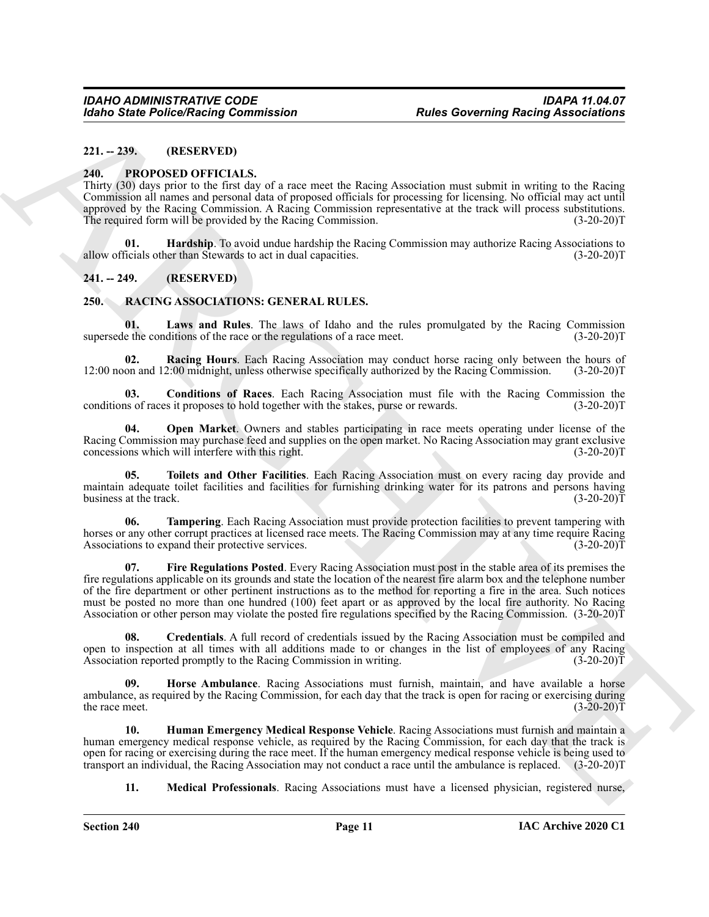# <span id="page-10-0"></span>**221. -- 239. (RESERVED)**

#### <span id="page-10-4"></span><span id="page-10-1"></span>**240. PROPOSED OFFICIALS.**

Thirty (30) days prior to the first day of a race meet the Racing Association must submit in writing to the Racing Commission all names and personal data of proposed officials for processing for licensing. No official may act until approved by the Racing Commission. A Racing Commission representative at the track will process substitutions. The required form will be provided by the Racing Commission. (3-20-20)T

<span id="page-10-5"></span>**01. Hardship**. To avoid undue hardship the Racing Commission may authorize Racing Associations to ficials other than Stewards to act in dual capacities. (3-20-20) allow officials other than Stewards to act in dual capacities.

#### <span id="page-10-2"></span>**241. -- 249. (RESERVED)**

#### <span id="page-10-6"></span><span id="page-10-3"></span>**250. RACING ASSOCIATIONS: GENERAL RULES.**

<span id="page-10-12"></span>Laws and Rules. The laws of Idaho and the rules promulgated by the Racing Commission supersede the conditions of the race or the regulations of a race meet. (3-20-20)T

<span id="page-10-15"></span>**02. Racing Hours**. Each Racing Association may conduct horse racing only between the hours of 12:00 noon and 12:00 midnight, unless otherwise specifically authorized by the Racing Commission. (3-20-20)T

<span id="page-10-7"></span>**03. Conditions of Races**. Each Racing Association must file with the Racing Commission the conditions of races it proposes to hold together with the stakes, purse or rewards. (3-20-20)T

<span id="page-10-14"></span>**04. Open Market**. Owners and stables participating in race meets operating under license of the Racing Commission may purchase feed and supplies on the open market. No Racing Association may grant exclusive concessions which will interfere with this right. (3-20-20) concessions which will interfere with this right.

<span id="page-10-17"></span>**05. Toilets and Other Facilities**. Each Racing Association must on every racing day provide and maintain adequate toilet facilities and facilities for furnishing drinking water for its patrons and persons having<br>(3-20-20)T business at the track.

<span id="page-10-16"></span><span id="page-10-9"></span>**06. Tampering**. Each Racing Association must provide protection facilities to prevent tampering with horses or any other corrupt practices at licensed race meets. The Racing Commission may at any time require Racing Associations to expand their protective services. (3-20-20)T

For the Poisso Raises Contents and Raises For the Basic Science and the Science of the Basic Science and Theorem 2. 2011<br>
2.01. The Contents of the Basic Science and The Science and The Science and The Science and The Sci **07. Fire Regulations Posted**. Every Racing Association must post in the stable area of its premises the fire regulations applicable on its grounds and state the location of the nearest fire alarm box and the telephone number of the fire department or other pertinent instructions as to the method for reporting a fire in the area. Such notices must be posted no more than one hundred (100) feet apart or as approved by the local fire authority. No Racing Association or other person may violate the posted fire regulations specified by the Racing Commission. (3-20-20)T

<span id="page-10-8"></span>**08. Credentials**. A full record of credentials issued by the Racing Association must be compiled and open to inspection at all times with all additions made to or changes in the list of employees of any Racing Association reported promptly to the Racing Commission in writing. (3-20-20) Association reported promptly to the Racing Commission in writing.

<span id="page-10-10"></span>Horse Ambulance. Racing Associations must furnish, maintain, and have available a horse ambulance, as required by the Racing Commission, for each day that the track is open for racing or exercising during<br>(3-20-20)T the race meet.  $(3-20-20)T$ 

**10. Human Emergency Medical Response Vehicle**. Racing Associations must furnish and maintain a human emergency medical response vehicle, as required by the Racing Commission, for each day that the track is open for racing or exercising during the race meet. If the human emergency medical response vehicle is being used to transport an individual, the Racing Association may not conduct a race until the ambulance is replaced. (3-20-20)T

<span id="page-10-13"></span><span id="page-10-11"></span>**11. Medical Professionals**. Racing Associations must have a licensed physician, registered nurse,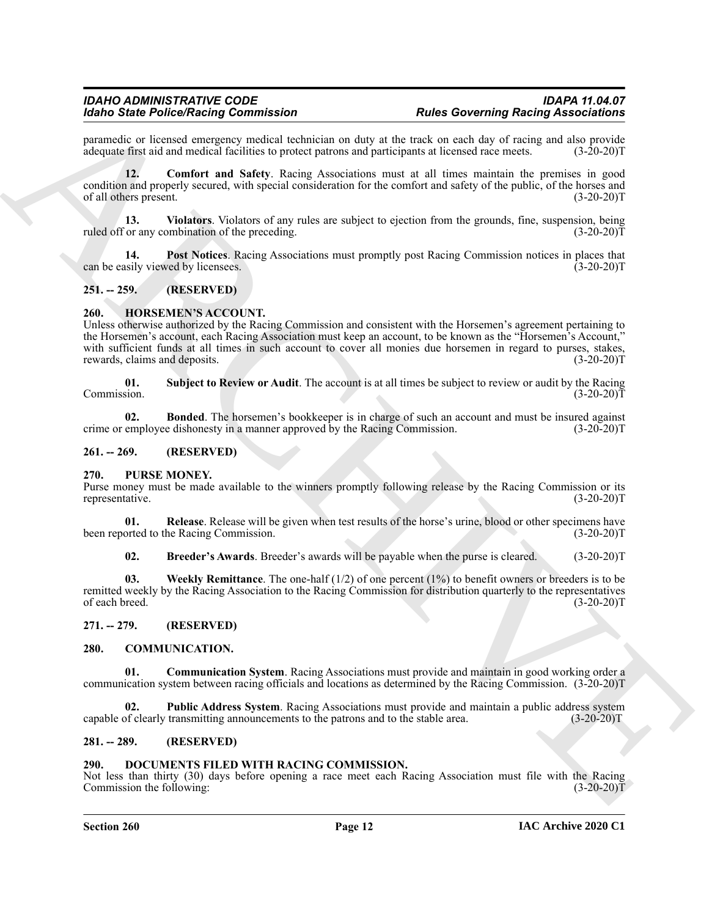#### *IDAHO ADMINISTRATIVE CODE IDAPA 11.04.07 Idaho State Police/Racing Commission*

paramedic or licensed emergency medical technician on duty at the track on each day of racing and also provide adequate first aid and medical facilities to protect patrons and participants at licensed race meets. (3-20-20) adequate first aid and medical facilities to protect patrons and participants at licensed race meets.

<span id="page-11-18"></span>**12. Comfort and Safety**. Racing Associations must at all times maintain the premises in good condition and properly secured, with special consideration for the comfort and safety of the public, of the horses and of all others present. (3-20-20)T

<span id="page-11-20"></span>**13. Violators**. Violators of any rules are subject to ejection from the grounds, fine, suspension, being ruled off or any combination of the preceding. (3-20-20)T

<span id="page-11-19"></span>**14. Post Notices**. Racing Associations must promptly post Racing Commission notices in places that can be easily viewed by licensees.

#### <span id="page-11-0"></span>**251. -- 259. (RESERVED)**

#### <span id="page-11-13"></span><span id="page-11-1"></span>**260. HORSEMEN'S ACCOUNT.**

For Sink Poince of the matter state is the state of the state of the state of the state of the state of the state of the state of the state of the state of the state of the state of the state of the state of the state of Unless otherwise authorized by the Racing Commission and consistent with the Horsemen's agreement pertaining to the Horsemen's account, each Racing Association must keep an account, to be known as the "Horsemen's Account," with sufficient funds at all times in such account to cover all monies due horsemen in regard to purses, stakes, rewards, claims and deposits. (3-20-20)T

<span id="page-11-21"></span>**01.** Subject to Review or Audit. The account is at all times be subject to review or audit by the Racing Commission. (3-20-20) Commission. (3-20-20)T

<span id="page-11-8"></span>**02. Bonded**. The horsemen's bookkeeper is in charge of such an account and must be insured against employee dishonesty in a manner approved by the Racing Commission. (3-20-20)T crime or employee dishonesty in a manner approved by the Racing Commission.

#### <span id="page-11-2"></span>**261. -- 269. (RESERVED)**

#### <span id="page-11-14"></span><span id="page-11-3"></span>**270. PURSE MONEY.**

Purse money must be made available to the winners promptly following release by the Racing Commission or its representative. (3-20-20)T representative.

**01. Release**. Release will be given when test results of the horse's urine, blood or other specimens have orted to the Racing Commission. (3-20-20) been reported to the Racing Commission.

<span id="page-11-17"></span><span id="page-11-16"></span><span id="page-11-15"></span>**02. Breeder's Awards**. Breeder's awards will be payable when the purse is cleared. (3-20-20)T

**03.** Weekly Remittance. The one-half (1/2) of one percent (1%) to benefit owners or breeders is to be remitted weekly by the Racing Association to the Racing Commission for distribution quarterly to the representatives of each breed. (3-20-20)T

#### <span id="page-11-4"></span>**271. -- 279. (RESERVED)**

#### <span id="page-11-9"></span><span id="page-11-5"></span>**280. COMMUNICATION.**

<span id="page-11-10"></span>**01. Communication System**. Racing Associations must provide and maintain in good working order a communication system between racing officials and locations as determined by the Racing Commission. (3-20-20)T

<span id="page-11-11"></span>**02. Public Address System**. Racing Associations must provide and maintain a public address system capable of clearly transmitting announcements to the patrons and to the stable area. (3-20-20)T

#### <span id="page-11-6"></span>**281. -- 289. (RESERVED)**

#### <span id="page-11-12"></span><span id="page-11-7"></span>**290. DOCUMENTS FILED WITH RACING COMMISSION.**

Not less than thirty (30) days before opening a race meet each Racing Association must file with the Racing Commission the following: (3-20-20)T

#### **Section 260 Page 12**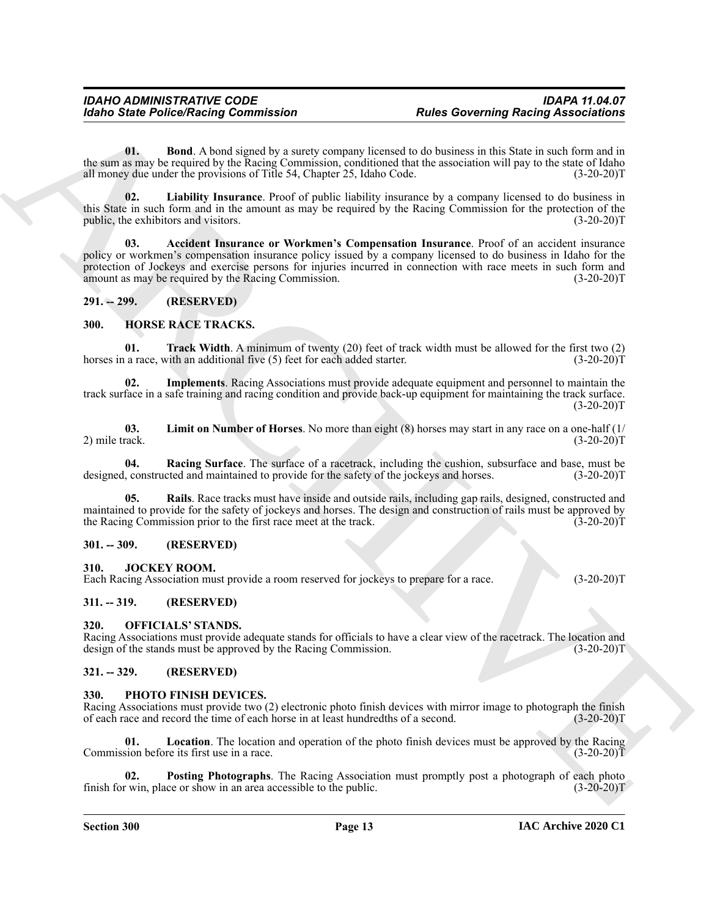#### *IDAHO ADMINISTRATIVE CODE IDAPA 11.04.07 Idaho State Police/Racing Commission Rules Governing Racing Associations*

<span id="page-12-9"></span>**01. Bond**. A bond signed by a surety company licensed to do business in this State in such form and in the sum as may be required by the Racing Commission, conditioned that the association will pay to the state of Idaho all money due under the provisions of Title 54. Chapter 25, Idaho Code. (3-20-20) all money due under the provisions of Title 54, Chapter 25, Idaho Code.

<span id="page-12-10"></span><span id="page-12-8"></span>**02. Liability Insurance**. Proof of public liability insurance by a company licensed to do business in this State in such form and in the amount as may be required by the Racing Commission for the protection of the public, the exhibitors and visitors. (3-20-20)T

For the PolecoVicina Commutation<br>
Units and Archive and the same state of the same state of the same state of the same state of the same state<br>
The same state is the same state of the same state of the same state of the s **03. Accident Insurance or Workmen's Compensation Insurance**. Proof of an accident insurance policy or workmen's compensation insurance policy issued by a company licensed to do business in Idaho for the protection of Jockeys and exercise persons for injuries incurred in connection with race meets in such form and amount as may be required by the Racing Commission. (3-20-20) amount as may be required by the Racing Commission.

#### <span id="page-12-0"></span>**291. -- 299. (RESERVED)**

#### <span id="page-12-11"></span><span id="page-12-1"></span>**300. HORSE RACE TRACKS.**

<span id="page-12-16"></span>**01. Track Width**. A minimum of twenty (20) feet of track width must be allowed for the first two (2) a race, with an additional five (5) feet for each added starter. (3-20-20) horses in a race, with an additional five  $(5)$  feet for each added starter.

<span id="page-12-12"></span>**02. Implements**. Racing Associations must provide adequate equipment and personnel to maintain the track surface in a safe training and racing condition and provide back-up equipment for maintaining the track surface.  $(3-20-20)T$ 

<span id="page-12-13"></span>**03. Limit on Number of Horses**. No more than eight (8) horses may start in any race on a one-half (1/ 2) mile track. (3-20-20)T

<span id="page-12-14"></span>**04. Racing Surface**. The surface of a racetrack, including the cushion, subsurface and base, must be designed, constructed and maintained to provide for the safety of the jockeys and horses. (3-20-20)T

<span id="page-12-15"></span>**05. Rails**. Race tracks must have inside and outside rails, including gap rails, designed, constructed and maintained to provide for the safety of jockeys and horses. The design and construction of rails must be approved by the Racing Commission prior to the first race meet at the track. (3-20-20) the Racing Commission prior to the first race meet at the track.

#### <span id="page-12-2"></span>**301. -- 309. (RESERVED)**

#### <span id="page-12-17"></span><span id="page-12-3"></span>**310. JOCKEY ROOM.**

Each Racing Association must provide a room reserved for jockeys to prepare for a race. (3-20-20)T

#### <span id="page-12-4"></span>**311. -- 319. (RESERVED)**

#### <span id="page-12-18"></span><span id="page-12-5"></span>**320. OFFICIALS' STANDS.**

Racing Associations must provide adequate stands for officials to have a clear view of the racetrack. The location and design of the stands must be approved by the Racing Commission. (3-20-20) design of the stands must be approved by the Racing Commission.

#### <span id="page-12-6"></span>**321. -- 329. (RESERVED)**

#### <span id="page-12-19"></span><span id="page-12-7"></span>**330. PHOTO FINISH DEVICES.**

Racing Associations must provide two (2) electronic photo finish devices with mirror image to photograph the finish of each race and record the time of each horse in at least hundredths of a second. (3-20-20)T

<span id="page-12-20"></span>**01. Location**. The location and operation of the photo finish devices must be approved by the Racing Commission before its first use in a race. (3-20-20)T

<span id="page-12-21"></span>**Posting Photographs**. The Racing Association must promptly post a photograph of each photo finish for win, place or show in an area accessible to the public. (3-20-20)T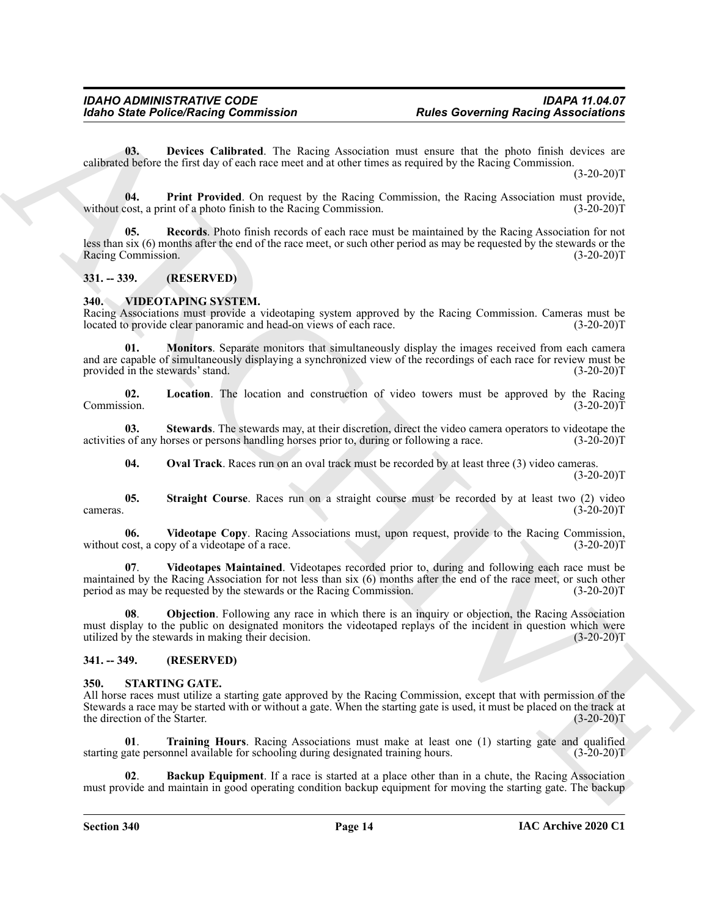<span id="page-13-4"></span>**03. Devices Calibrated**. The Racing Association must ensure that the photo finish devices are calibrated before the first day of each race meet and at other times as required by the Racing Commission.

 $(3-20-20)T$ 

<span id="page-13-5"></span>**04. Print Provided**. On request by the Racing Commission, the Racing Association must provide, cost, a print of a photo finish to the Racing Commission. (3-20-20) without cost, a print of a photo finish to the Racing Commission.

<span id="page-13-6"></span>**05. Records**. Photo finish records of each race must be maintained by the Racing Association for not less than six (6) months after the end of the race meet, or such other period as may be requested by the stewards or the Racing Commission. (3-20-20)T

#### <span id="page-13-0"></span>**331. -- 339. (RESERVED)**

#### <span id="page-13-10"></span><span id="page-13-1"></span>**340. VIDEOTAPING SYSTEM.**

<span id="page-13-12"></span>Racing Associations must provide a videotaping system approved by the Racing Commission. Cameras must be located to provide clear panoramic and head-on views of each race. (3-20-20) located to provide clear panoramic and head-on views of each race.

For the Police Picture Research Contents and the Research Contents and the Georgian space of the Society of the Society of the Society of the Research Contents and the Society of the Society of the Society of the Research **Monitors**. Separate monitors that simultaneously display the images received from each camera and are capable of simultaneously displaying a synchronized view of the recordings of each race for review must be provided in the stewards' stand. (3-20-20)T

<span id="page-13-11"></span>**02. Location**. The location and construction of video towers must be approved by the Racing Commission. (3-20-20)T

**03. Stewards**. The stewards may, at their discretion, direct the video camera operators to videotape the activities of any horses or persons handling horses prior to, during or following a race. (3-20-20)T

<span id="page-13-17"></span><span id="page-13-16"></span><span id="page-13-15"></span><span id="page-13-14"></span>**04. Oval Track**. Races run on an oval track must be recorded by at least three (3) video cameras.

 $(3-20-20)T$ 

**05. Straight Course**. Races run on a straight course must be recorded by at least two (2) video  $\alpha$  cameras. (3-20-20)T

**06. Videotape Copy**. Racing Associations must, upon request, provide to the Racing Commission, without cost, a copy of a videotape of a race.  $(3-20-20)T$ 

<span id="page-13-18"></span>**07**. **Videotapes Maintained**. Videotapes recorded prior to, during and following each race must be maintained by the Racing Association for not less than six (6) months after the end of the race meet, or such other<br>period as may be requested by the stewards or the Racing Commission. (3-20-20) period as may be requested by the stewards or the Racing Commission.

<span id="page-13-13"></span>**08**. **Objection**. Following any race in which there is an inquiry or objection, the Racing Association must display to the public on designated monitors the videotaped replays of the incident in question which were utilized by the stewards in making their decision. (3-20-20)T

#### <span id="page-13-2"></span>**341. -- 349. (RESERVED)**

#### <span id="page-13-7"></span><span id="page-13-3"></span>**350. STARTING GATE.**

All horse races must utilize a starting gate approved by the Racing Commission, except that with permission of the Stewards a race may be started with or without a gate. When the starting gate is used, it must be placed on the track at the direction of the Starter. (3-20-20)T

<span id="page-13-9"></span>**01**. **Training Hours**. Racing Associations must make at least one (1) starting gate and qualified starting gate personnel available for schooling during designated training hours. (3-20-20)T

<span id="page-13-8"></span>**02**. **Backup Equipment**. If a race is started at a place other than in a chute, the Racing Association must provide and maintain in good operating condition backup equipment for moving the starting gate. The backup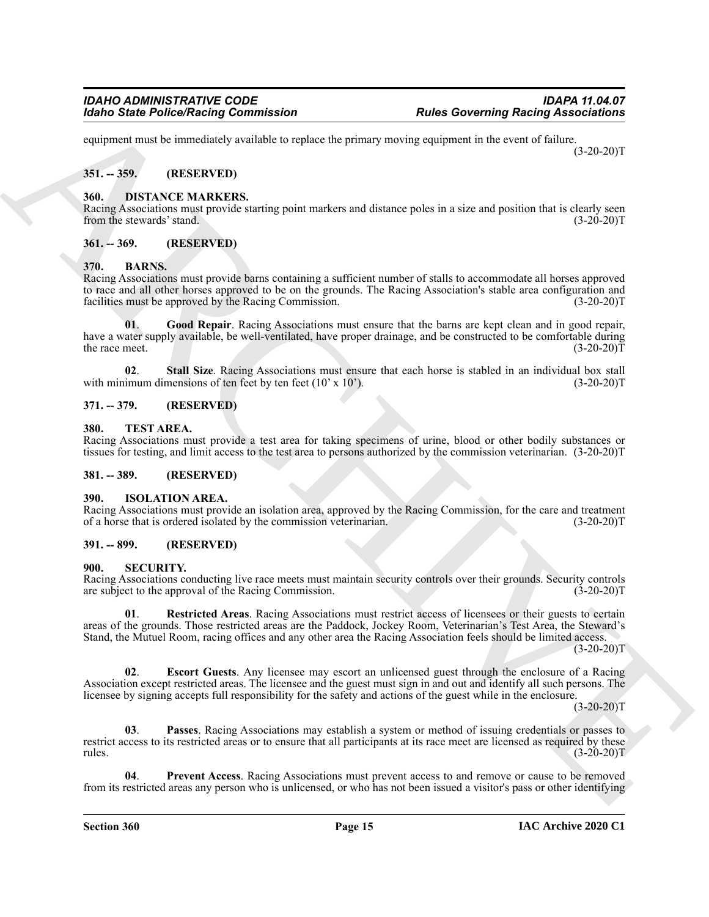equipment must be immediately available to replace the primary moving equipment in the event of failure.  $(3-20-20)T$ 

#### <span id="page-14-0"></span>**351. -- 359. (RESERVED)**

#### <span id="page-14-13"></span><span id="page-14-1"></span>**360. DISTANCE MARKERS.**

Racing Associations must provide starting point markers and distance poles in a size and position that is clearly seen<br>
(3-20-20)T from the stewards' stand.

#### <span id="page-14-2"></span>**361. -- 369. (RESERVED)**

#### <span id="page-14-10"></span><span id="page-14-3"></span>**370. BARNS.**

<span id="page-14-11"></span>Racing Associations must provide barns containing a sufficient number of stalls to accommodate all horses approved to race and all other horses approved to be on the grounds. The Racing Association's stable area configuration and facilities must be approved by the Racing Commission. (3-20-20)T

For the Police Neutral Commission<br>
solven to the Context of the Context of the Context of the Context of the Context of the Context of the Context of the Context of the Context of the Context of the Context of the Context **01**. **Good Repair**. Racing Associations must ensure that the barns are kept clean and in good repair, have a water supply available, be well-ventilated, have proper drainage, and be constructed to be comfortable during the race meet.  $(3-20-20)T$ 

<span id="page-14-12"></span>**02. Stall Size**. Racing Associations must ensure that each horse is stabled in an individual box stall imum dimensions of ten feet by ten feet (10' x 10'). (3-20-20) with minimum dimensions of ten feet by ten feet  $(10' \times 10')$ .

#### <span id="page-14-4"></span>**371. -- 379. (RESERVED)**

#### <span id="page-14-20"></span><span id="page-14-5"></span>**380. TEST AREA.**

Racing Associations must provide a test area for taking specimens of urine, blood or other bodily substances or tissues for testing, and limit access to the test area to persons authorized by the commission veterinarian. (3-20-20)T

#### <span id="page-14-6"></span>**381. -- 389. (RESERVED)**

#### <span id="page-14-14"></span><span id="page-14-7"></span>**390. ISOLATION AREA.**

Racing Associations must provide an isolation area, approved by the Racing Commission, for the care and treatment of a horse that is ordered isolated by the commission veterinarian. (3-20-20)T

#### <span id="page-14-8"></span>**391. -- 899. (RESERVED)**

#### <span id="page-14-15"></span><span id="page-14-9"></span>**900. SECURITY.**

Racing Associations conducting live race meets must maintain security controls over their grounds. Security controls are subject to the approval of the Racing Commission. (3-20-20) are subject to the approval of the Racing Commission.

<span id="page-14-19"></span>**01**. **Restricted Areas**. Racing Associations must restrict access of licensees or their guests to certain areas of the grounds. Those restricted areas are the Paddock, Jockey Room, Veterinarian's Test Area, the Steward's Stand, the Mutuel Room, racing offices and any other area the Racing Association feels should be limited access.

 $(3-20-20)T$ 

<span id="page-14-16"></span>**02**. **Escort Guests**. Any licensee may escort an unlicensed guest through the enclosure of a Racing Association except restricted areas. The licensee and the guest must sign in and out and identify all such persons. The licensee by signing accepts full responsibility for the safety and actions of the guest while in the enclosure.

 $(3-20-20)T$ 

<span id="page-14-17"></span>**03**. **Passes**. Racing Associations may establish a system or method of issuing credentials or passes to restrict access to its restricted areas or to ensure that all participants at its race meet are licensed as required by these rules.  $(3-20-20)T$ 

<span id="page-14-18"></span>**04**. **Prevent Access**. Racing Associations must prevent access to and remove or cause to be removed from its restricted areas any person who is unlicensed, or who has not been issued a visitor's pass or other identifying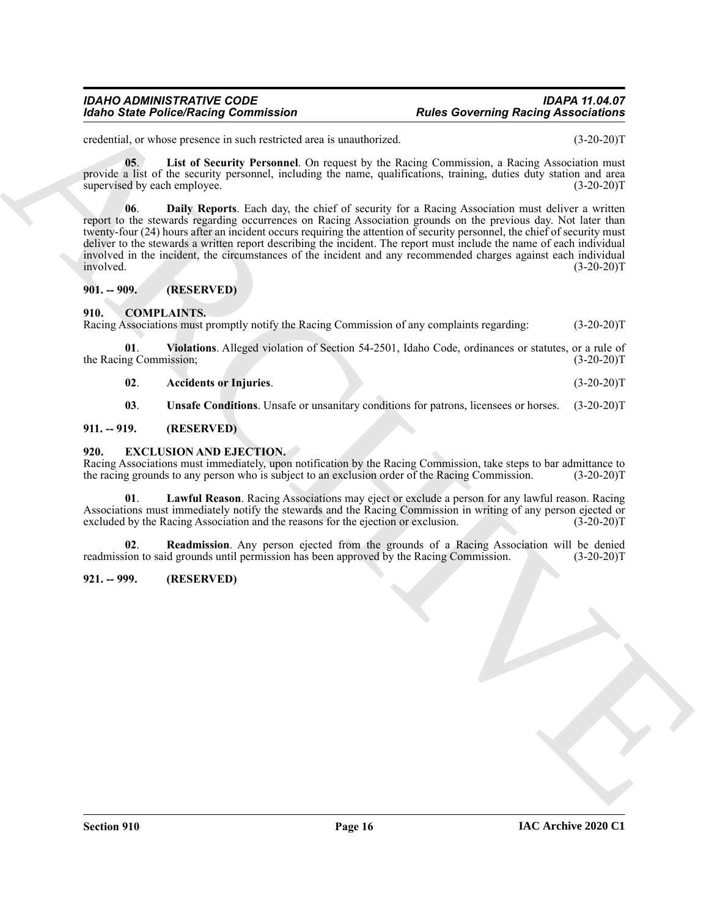#### *IDAHO ADMINISTRATIVE CODE IDAPA 11.04.07 Idaho State Police/Racing Commission Rules Governing Racing Associations*

credential, or whose presence in such restricted area is unauthorized. (3-20-20)T

<span id="page-15-13"></span><span id="page-15-12"></span>**05**. **List of Security Personnel**. On request by the Racing Commission, a Racing Association must provide a list of the security personnel, including the name, qualifications, training, duties duty station and area supervised by each employee. (3-20-20)T

Form Since Police Nearly Commission<br>
cycloptic materials and the systems of the material state is membersed.<br>
The systems of the systems of the material of the material the system of the system of the systems are applied **06**. **Daily Reports**. Each day, the chief of security for a Racing Association must deliver a written report to the stewards regarding occurrences on Racing Association grounds on the previous day. Not later than twenty-four (24) hours after an incident occurs requiring the attention of security personnel, the chief of security must deliver to the stewards a written report describing the incident. The report must include the name of each individual involved in the incident, the circumstances of the incident and any recommended charges against each individual involved. (3-20-20)T

#### <span id="page-15-0"></span>**901. -- 909. (RESERVED)**

#### <span id="page-15-5"></span><span id="page-15-1"></span>**910. COMPLAINTS.**

Racing Associations must promptly notify the Racing Commission of any complaints regarding: (3-20-20)T

**01**. **Violations**. Alleged violation of Section 54-2501, Idaho Code, ordinances or statutes, or a rule of the Racing Commission; (3-20-20)T

<span id="page-15-8"></span><span id="page-15-6"></span>**02**. **Accidents or Injuries**. (3-20-20)T

<span id="page-15-9"></span><span id="page-15-7"></span>**03**. **Unsafe Conditions**. Unsafe or unsanitary conditions for patrons, licensees or horses. (3-20-20)T

#### <span id="page-15-2"></span>**911. -- 919. (RESERVED)**

#### <span id="page-15-3"></span>**920. EXCLUSION AND EJECTION.**

Racing Associations must immediately, upon notification by the Racing Commission, take steps to bar admittance to the racing grounds to any person who is subject to an exclusion order of the Racing Commission. (3-20-20)T

<span id="page-15-10"></span>**01**. **Lawful Reason**. Racing Associations may eject or exclude a person for any lawful reason. Racing Associations must immediately notify the stewards and the Racing Commission in writing of any person ejected or excluded by the Racing Association and the reasons for the ejection or exclusion. (3-20-20)T

<span id="page-15-11"></span>**02**. **Readmission**. Any person ejected from the grounds of a Racing Association will be denied readmission to said grounds until permission has been approved by the Racing Commission. (3-20-20)T

#### <span id="page-15-4"></span>**921. -- 999. (RESERVED)**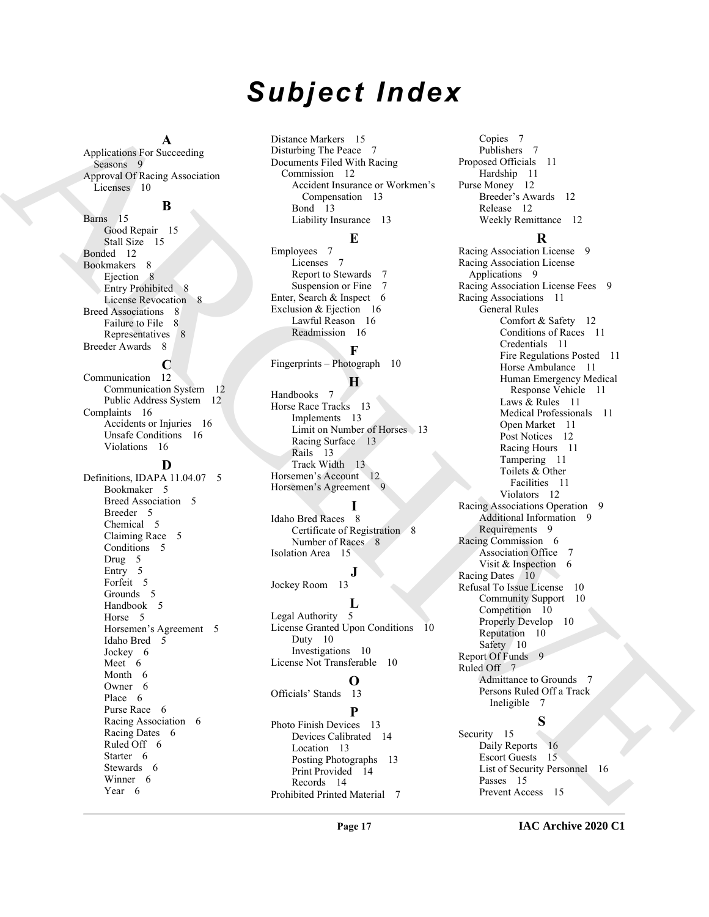# *Subject Index*

#### **A**

Applications For Succeeding Seasons 9 Approval Of Racing Association Licenses 10

# **B**

Barns 15 Good Repair 15 Stall Size 15 Bonded 12 Bookmakers 8 Ejection 8 Entry Prohibited 8 License Revocation 8 Breed Associations 8 Failure to File 8 Representatives 8 Breeder Awards 8

### **C**

Communication 12 Communication System 12 Public Address System 12 Complaints 16 Accidents or Injuries 16 Unsafe Conditions 16 Violations 16

#### **D**

Definitions, IDAPA 11.04.07 5 Bookmaker 5 Breed Association 5 Breeder 5 Chemical 5 Claiming Race 5 Conditions 5 Drug 5 Entry 5 Forfeit 5 Grounds 5 Handbook 5 Horse 5 Horsemen's Agreement 5 Idaho Bred 5 Jockey 6 Meet 6 Month 6 Owner 6 Place 6 Purse Race 6 Racing Association 6 Racing Dates 6 Ruled Off 6 Starter 6 Stewards 6 Winner 6 Year 6

Distance Markers 15 Disturbing The Peace 7 Documents Filed With Racing Commission 12 Accident Insurance or Workmen's Compensation 13 Bond 13 Liability Insurance 13

#### **E**

Employees 7 Licenses 7 Report to Stewards Suspension or Fine 7 Enter, Search & Inspect 6 Exclusion & Eiection 16 Lawful Reason 16 Readmission 16 **F**

Fingerprints – Photograph 10

#### **H**

Handbooks 7 Horse Race Tracks 13 Implements 13 Limit on Number of Horses 13 Racing Surface 13 Rails 13 Track Width 13 Horsemen's Account 12 Horsemen's Agreement 9

#### **I**

Idaho Bred Races 8 Certificate of Registration 8 Number of Races 8 Isolation Area 15

**J** Jockey Room 13

### **L**

Legal Authority 5 License Granted Upon Conditions 10 Duty 10 Investigations 10 License Not Transferable 10

#### **O**

Officials' Stands 13 **P**

Photo Finish Devices 13 Devices Calibrated 14 Location 13 Posting Photographs 13 Print Provided 14 Records 14 Prohibited Printed Material 7

Copies 7 Publishers 7 Proposed Officials 11 Hardship 11 Purse Money 12 Breeder's Awards 12 Release 12 Weekly Remittance 12

# **R**

[A](#page-9-11)[R](#page-14-10)[C](#page-15-9)[H](#page-12-11)[I](#page-8-19)[VE](#page-6-22) Racing Association License 9 Racing Association License Applications 9 Racing Association License Fees 9 Racing Associations 11 General Rules Comfort & Safety 12 Conditions of Races 11 Credentials 11 Fire Regulations Posted 11 Horse Ambulance 11 Human Emergency Medical Response Vehicle 11 Laws & Rules 11 Medical Professionals 11 Open Market 11 Post Notices 12 Racing Hours 11 Tampering 11 Toilets & Other Facilities 11 Violators 12 Racing Associations Operation 9 Additional Information 9 Requirements 9 Racing Commission 6 Association Office 7 Visit & Inspection 6 Racing Dates 10 Refusal To Issue License 10 Community Support 10 Competition 10 Properly Develop 10 Reputation 10 Safety 10 Report Of Funds 9 Ruled Off 7 Admittance to Grounds 7 Persons Ruled Off a Track Ineligible 7

# **S**

Security 15 Daily Reports 16 Escort Guests 15 List of Security Personnel 16 Passes 15 Prevent Access 15